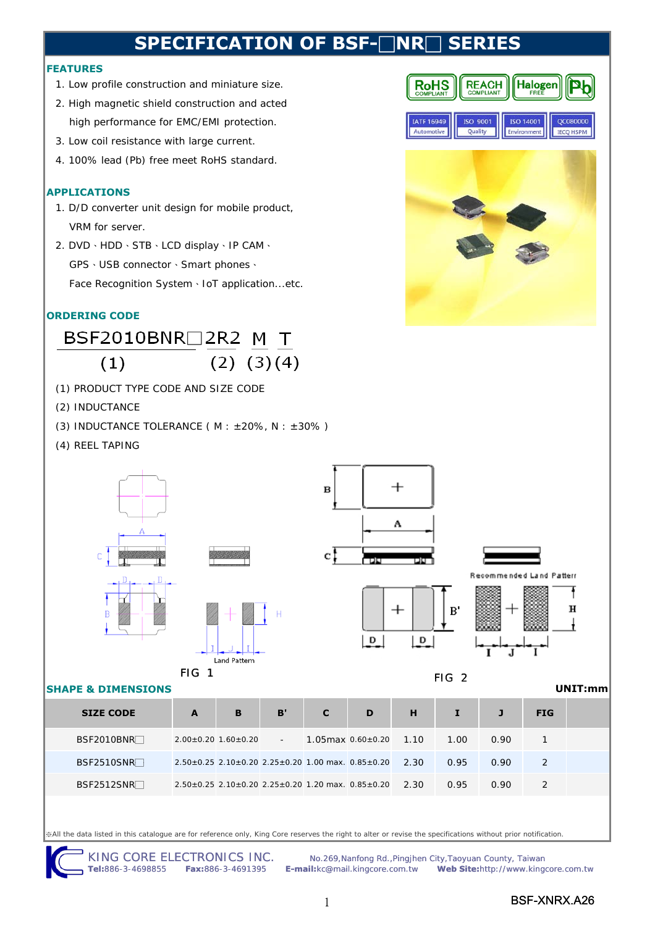# **SPECIFICATION OF BSF-□NR**

### **FEATURES**

- 1. Low profile construction and miniature size.
- 2. High magnetic shield construction and acted high performance for EMC/EMI protection.
- 3. Low coil resistance with large current.
- 4. 100% lead (Pb) free meet RoHS standard.

### **APPLICATIONS**

- 1. D/D converter unit design for mobile product, VRM for server.
- 2. DVD、HDD、STB、LCD display、IP CAM、

GPS、USB connector、Smart phones、

Face Recognition System、IoT application...etc.

### **ORDERING CODE**

### BSF2010BNR□2R2 M T  $(2)$   $(3)(4)$  $(1)$

- (1) PRODUCT TYPE CODE AND SIZE CODE
- (2) INDUCTANCE
- (3) INDUCTANCE TOLERANCE ( $M : ±20\%$ ,  $N : ±30\%$ )
- (4) REEL TAPING



※All the data listed in this catalogue are for reference only, King Core reserves the right to alter or revise the specifications without prior notification.



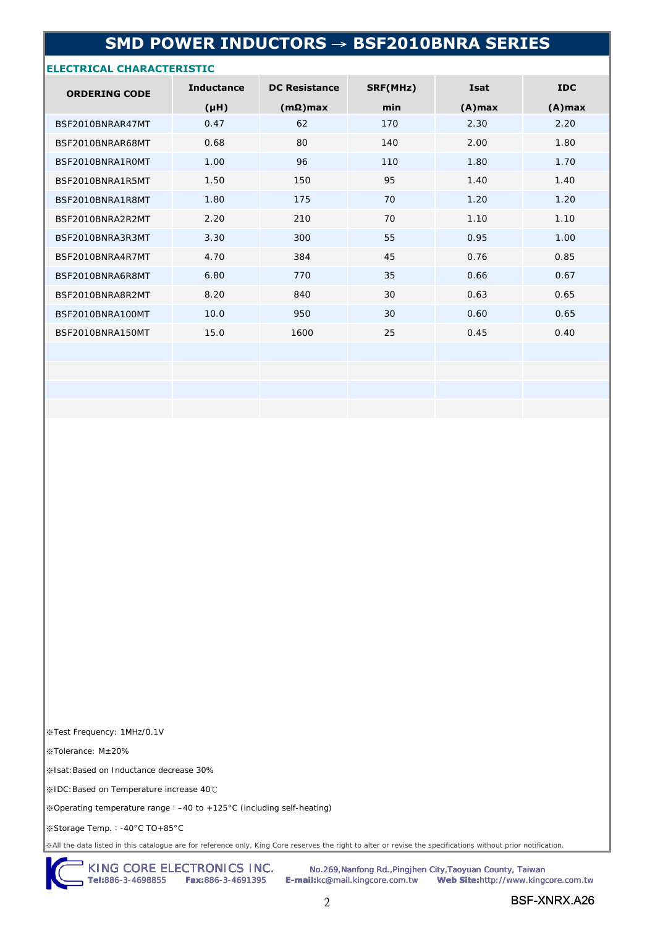## **SMD POWER INDUCTORS** → **BSF2010BNRA SERIES**

### **ELECTRICAL CHARACTERISTIC**

| <b>ORDERING CODE</b> | <b>Inductance</b> | <b>DC Resistance</b> | SRF(MHz) | <b>Isat</b> | <b>IDC</b> |
|----------------------|-------------------|----------------------|----------|-------------|------------|
|                      | (HH)              | $(m\Omega)$ max      | min      | $(A)$ max   | $(A)$ max  |
| BSF2010BNRAR47MT     | 0.47              | 62                   | 170      | 2.30        | 2.20       |
| BSF2010BNRAR68MT     | 0.68              | 80                   | 140      | 2.00        | 1.80       |
| BSF2010BNRA1ROMT     | 1.00              | 96                   | 110      | 1.80        | 1.70       |
| BSF2010BNRA1R5MT     | 1.50              | 150                  | 95       | 1.40        | 1.40       |
| BSF2010BNRA1R8MT     | 1.80              | 175                  | 70       | 1.20        | 1.20       |
| BSF2010BNRA2R2MT     | 2.20              | 210                  | 70       | 1.10        | 1.10       |
| BSF2010BNRA3R3MT     | 3.30              | 300                  | 55       | 0.95        | 1.00       |
| BSF2010BNRA4R7MT     | 4.70              | 384                  | 45       | 0.76        | 0.85       |
| BSF2010BNRA6R8MT     | 6.80              | 770                  | 35       | 0.66        | 0.67       |
| BSF2010BNRA8R2MT     | 8.20              | 840                  | 30       | 0.63        | 0.65       |
| BSF2010BNRA100MT     | 10.0              | 950                  | 30       | 0.60        | 0.65       |
| BSF2010BNRA150MT     | 15.0              | 1600                 | 25       | 0.45        | 0.40       |
|                      |                   |                      |          |             |            |
|                      |                   |                      |          |             |            |
|                      |                   |                      |          |             |            |
|                      |                   |                      |          |             |            |

※Test Frequency: 1MHz/0.1V

※Tolerance: M±20%

※Isat:Based on Inductance decrease 30%

※IDC:Based on Temperature increase 40℃

※Operating temperature range:–40 to +125°C (including self-heating)

※Storage Temp.:-40°C TO+85°C

※All the data listed in this catalogue are for reference only, King Core reserves the right to alter or revise the specifications without prior notification.

KING CORE ELECTRONICS INC. No.269,Nanfong Rd.,Pingjhen City,Taoyuan County, Taiwan

**Tel:**886-3-4698855 **Fax:**886-3-4691395 **E-mail:**kc@mail.kingcore.com.tw **Web Site:**http://www.kingcore.com.tw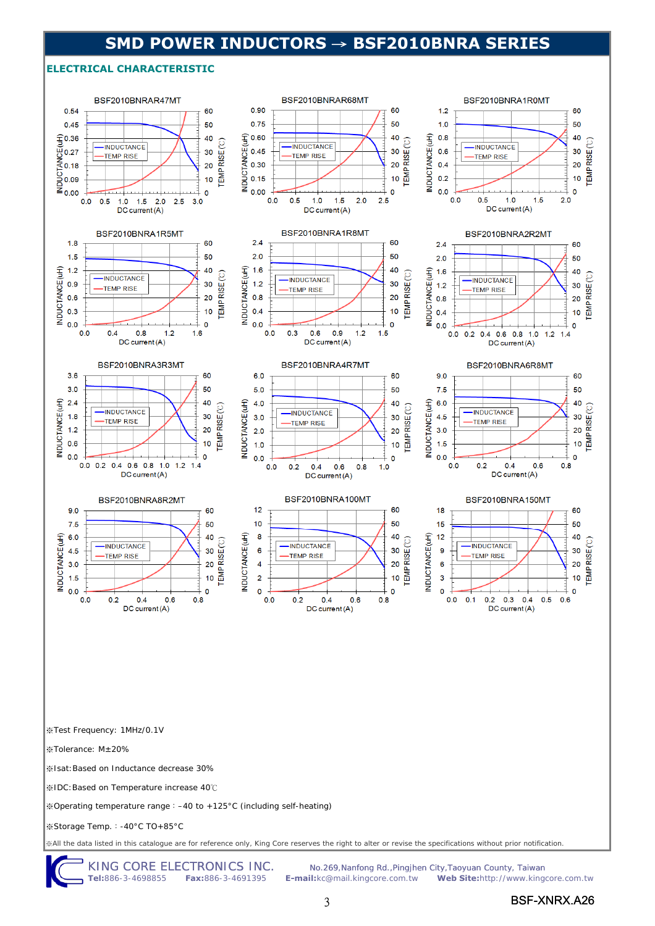## **SMD POWER INDUCTORS** → **BSF2010BNRA SERIES**

#### **ELECTRICAL CHARACTERISTIC**



KING CORE ELECTRONICS INC. No.269,Nanfong Rd.,Pingjhen City,Taoyuan County, Taiwan<br>Tel:886-3-4698855 Fax:886-3-4691395 E-mail:kc@mail.kingcore.com.tw Web Site:http://www.king **Tel:**886-3-4698855 **Fax:**886-3-4691395 **E-mail:**kc@mail.kingcore.com.tw **Web Site:**http://www.kingcore.com.tw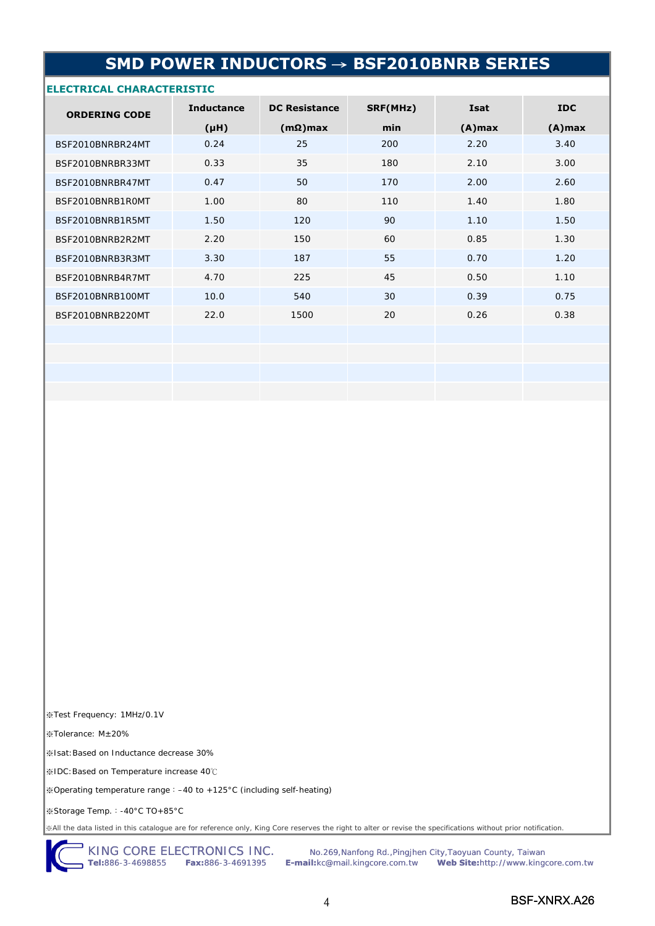# **SMD POWER INDUCTORS** → **BSF2010BNRB SERIES**

## **ELECTRICAL CHARACTERISTIC**

| <b>ORDERING CODE</b> | <b>Inductance</b> | <b>DC Resistance</b> | SRF(MHz) | <b>Isat</b> | <b>IDC</b> |
|----------------------|-------------------|----------------------|----------|-------------|------------|
|                      | (H <sub>H</sub> ) | $(m\Omega)$ max      | min      | $(A)$ max   | $(A)$ max  |
| BSF2010BNRBR24MT     | 0.24              | 25                   | 200      | 2.20        | 3.40       |
| BSF2010BNRBR33MT     | 0.33              | 35                   | 180      | 2.10        | 3.00       |
| BSF2010BNRBR47MT     | 0.47              | 50                   | 170      | 2.00        | 2.60       |
| BSF2010BNRB1R0MT     | 1.00              | 80                   | 110      | 1.40        | 1.80       |
| BSF2010BNRB1R5MT     | 1.50              | 120                  | 90       | 1.10        | 1.50       |
| BSF2010BNRB2R2MT     | 2.20              | 150                  | 60       | 0.85        | 1.30       |
| BSF2010BNRB3R3MT     | 3.30              | 187                  | 55       | 0.70        | 1.20       |
| BSF2010BNRB4R7MT     | 4.70              | 225                  | 45       | 0.50        | 1.10       |
| BSF2010BNRB100MT     | 10.0              | 540                  | 30       | 0.39        | 0.75       |
| BSF2010BNRB220MT     | 22.0              | 1500                 | 20       | 0.26        | 0.38       |
|                      |                   |                      |          |             |            |
|                      |                   |                      |          |             |            |
|                      |                   |                      |          |             |            |
|                      |                   |                      |          |             |            |

※Test Frequency: 1MHz/0.1V

※Tolerance: M±20%

※Isat:Based on Inductance decrease 30%

※IDC:Based on Temperature increase 40℃

※Operating temperature range:–40 to +125°C (including self-heating)

※Storage Temp.:-40°C TO+85°C

※All the data listed in this catalogue are for reference only, King Core reserves the right to alter or revise the specifications without prior notification.

KING CORE ELECTRONICS INC. No.269, Nanfong Rd., Pingjhen City, Taoyuan County, Taiwan **Tel:**886-3-4698855 **Fax:**886-3-4691395 **E-mail:**kc@mail.kingcore.com.tw **Web Site:**http://www.kingcore.com.tw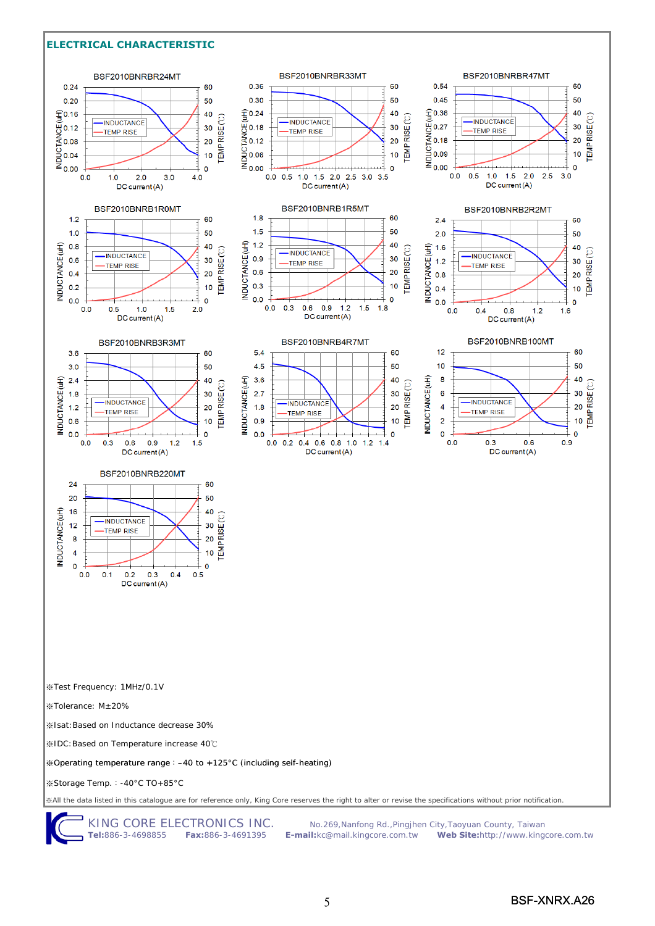#### **ELECTRICAL CHARACTERISTIC**